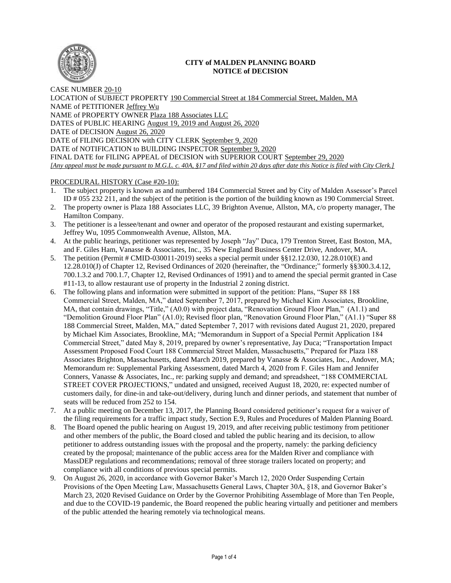

# **CITY of MALDEN PLANNING BOARD NOTICE of DECISION**

CASE NUMBER 20-10 LOCATION of SUBJECT PROPERTY 190 Commercial Street at 184 Commercial Street, Malden, MA NAME of PETITIONER Jeffrey Wu NAME of PROPERTY OWNER Plaza 188 Associates LLC DATES of PUBLIC HEARING August 19, 2019 and August 26, 2020 DATE of DECISION August 26, 2020 DATE of FILING DECISION with CITY CLERK September 9, 2020 DATE of NOTIFICATION to BUILDING INSPECTOR September 9, 2020 FINAL DATE for FILING APPEAL of DECISION with SUPERIOR COURT September 29, 2020 *[Any appeal must be made pursuant to M.G.L. c. 40A, §17 and filed within 20 days after date this Notice is filed with City Clerk.]* 

## PROCEDURAL HISTORY (Case #20-10):

- 1. The subject property is known as and numbered 184 Commercial Street and by City of Malden Assessor's Parcel ID # 055 232 211, and the subject of the petition is the portion of the building known as 190 Commercial Street.
- 2. The property owner is Plaza 188 Associates LLC, 39 Brighton Avenue, Allston, MA, c/o property manager, The Hamilton Company.
- 3. The petitioner is a lessee/tenant and owner and operator of the proposed restaurant and existing supermarket, Jeffrey Wu, 1095 Commonwealth Avenue, Allston, MA.
- 4. At the public hearings, petitioner was represented by Joseph "Jay" Duca, 179 Trenton Street, East Boston, MA, and F. Giles Ham, Vanasse & Associates, Inc., 35 New England Business Center Drive, Andover, MA.
- 5. The petition (Permit # CMID-030011-2019) seeks a special permit under §§12.12.030, 12.28.010(E) and 12.28.010(J) of Chapter 12, Revised Ordinances of 2020 (hereinafter, the "Ordinance;" formerly §§300.3.4.12, 700.1.3.2 and 700.1.7, Chapter 12, Revised Ordinances of 1991) and to amend the special permit granted in Case #11-13, to allow restaurant use of property in the Industrial 2 zoning district.
- 6. The following plans and information were submitted in support of the petition: Plans, "Super 88 188 Commercial Street, Malden, MA," dated September 7, 2017, prepared by Michael Kim Associates, Brookline, MA, that contain drawings, "Title," (A0.0) with project data, "Renovation Ground Floor Plan," (A1.1) and "Demolition Ground Floor Plan" (A1.0); Revised floor plan, "Renovation Ground Floor Plan," (A1.1) "Super 88 188 Commercial Street, Malden, MA," dated September 7, 2017 with revisions dated August 21, 2020, prepared by Michael Kim Associates, Brookline, MA; "Memorandum in Support of a Special Permit Application 184 Commercial Street," dated May 8, 2019, prepared by owner's representative, Jay Duca; "Transportation Impact Assessment Proposed Food Court 188 Commercial Street Malden, Massachusetts," Prepared for Plaza 188 Associates Brighton, Massachusetts, dated March 2019, prepared by Vanasse & Associates, Inc., Andover, MA; Memorandum re: Supplemental Parking Assessment, dated March 4, 2020 from F. Giles Ham and Jennifer Conners, Vanasse & Associates, Inc., re: parking supply and demand; and spreadsheet, "188 COMMERCIAL STREET COVER PROJECTIONS," undated and unsigned, received August 18, 2020, re: expected number of customers daily, for dine-in and take-out/delivery, during lunch and dinner periods, and statement that number of seats will be reduced from 252 to 154.
- 7. At a public meeting on December 13, 2017, the Planning Board considered petitioner's request for a waiver of the filing requirements for a traffic impact study, Section E.9, Rules and Procedures of Malden Planning Board.
- 8. The Board opened the public hearing on August 19, 2019, and after receiving public testimony from petitioner and other members of the public, the Board closed and tabled the public hearing and its decision, to allow petitioner to address outstanding issues with the proposal and the property, namely: the parking deficiency created by the proposal; maintenance of the public access area for the Malden River and compliance with MassDEP regulations and recommendations; removal of three storage trailers located on property; and compliance with all conditions of previous special permits.
- 9. On August 26, 2020, in accordance with Governor Baker's March 12, 2020 Order Suspending Certain Provisions of the Open Meeting Law, Massachusetts General Laws, Chapter 30A, §18, and Governor Baker's March 23, 2020 Revised Guidance on Order by the Governor Prohibiting Assemblage of More than Ten People, and due to the COVID-19 pandemic, the Board reopened the public hearing virtually and petitioner and members of the public attended the hearing remotely via technological means.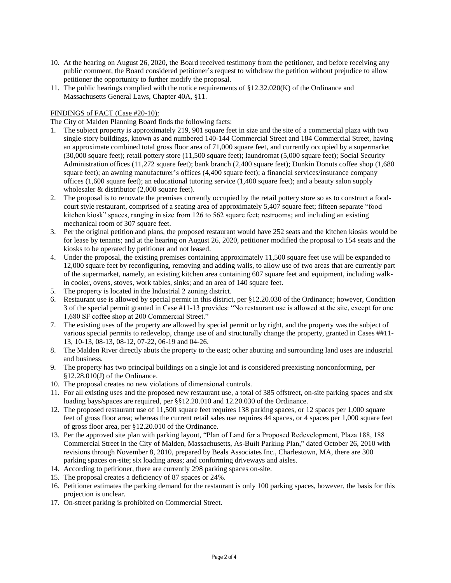- 10. At the hearing on August 26, 2020, the Board received testimony from the petitioner, and before receiving any public comment, the Board considered petitioner's request to withdraw the petition without prejudice to allow petitioner the opportunity to further modify the proposal.
- 11. The public hearings complied with the notice requirements of §12.32.020(K) of the Ordinance and Massachusetts General Laws, Chapter 40A, §11.

## FINDINGS of FACT (Case #20-10):

The City of Malden Planning Board finds the following facts:

- 1. The subject property is approximately 219, 901 square feet in size and the site of a commercial plaza with two single-story buildings, known as and numbered 140-144 Commercial Street and 184 Commercial Street, having an approximate combined total gross floor area of 71,000 square feet, and currently occupied by a supermarket (30,000 square feet); retail pottery store (11,500 square feet); laundromat (5,000 square feet); Social Security Administration offices (11,272 square feet); bank branch (2,400 square feet); Dunkin Donuts coffee shop (1,680 square feet); an awning manufacturer's offices (4,400 square feet); a financial services/insurance company offices (1,600 square feet); an educational tutoring service (1,400 square feet); and a beauty salon supply wholesaler & distributor (2,000 square feet).
- 2. The proposal is to renovate the premises currently occupied by the retail pottery store so as to construct a foodcourt style restaurant, comprised of a seating area of approximately 5,407 square feet; fifteen separate "food kitchen kiosk" spaces, ranging in size from 126 to 562 square feet; restrooms; and including an existing mechanical room of 307 square feet.
- 3. Per the original petition and plans, the proposed restaurant would have 252 seats and the kitchen kiosks would be for lease by tenants; and at the hearing on August 26, 2020, petitioner modified the proposal to 154 seats and the kiosks to be operated by petitioner and not leased.
- 4. Under the proposal, the existing premises containing approximately 11,500 square feet use will be expanded to 12,000 square feet by reconfiguring, removing and adding walls, to allow use of two areas that are currently part of the supermarket, namely, an existing kitchen area containing 607 square feet and equipment, including walkin cooler, ovens, stoves, work tables, sinks; and an area of 140 square feet.
- 5. The property is located in the Industrial 2 zoning district.
- 6. Restaurant use is allowed by special permit in this district, per §12.20.030 of the Ordinance; however, Condition 3 of the special permit granted in Case #11-13 provides: "No restaurant use is allowed at the site, except for one 1,680 SF coffee shop at 200 Commercial Street."
- 7. The existing uses of the property are allowed by special permit or by right, and the property was the subject of various special permits to redevelop, change use of and structurally change the property, granted in Cases ##11- 13, 10-13, 08-13, 08-12, 07-22, 06-19 and 04-26.
- 8. The Malden River directly abuts the property to the east; other abutting and surrounding land uses are industrial and business.
- 9. The property has two principal buildings on a single lot and is considered preexisting nonconforming, per §12.28.010(J) of the Ordinance.
- 10. The proposal creates no new violations of dimensional controls.
- 11. For all existing uses and the proposed new restaurant use, a total of 385 offstreet, on-site parking spaces and six loading bays/spaces are required, per §§12.20.010 and 12.20.030 of the Ordinance.
- 12. The proposed restaurant use of 11,500 square feet requires 138 parking spaces, or 12 spaces per 1,000 square feet of gross floor area; whereas the current retail sales use requires 44 spaces, or 4 spaces per 1,000 square feet of gross floor area, per §12.20.010 of the Ordinance.
- 13. Per the approved site plan with parking layout, "Plan of Land for a Proposed Redevelopment, Plaza 188, 188 Commercial Street in the City of Malden, Massachusetts, As-Built Parking Plan," dated October 26, 2010 with revisions through November 8, 2010, prepared by Beals Associates Inc., Charlestown, MA, there are 300 parking spaces on-site; six loading areas; and conforming driveways and aisles.
- 14. According to petitioner, there are currently 298 parking spaces on-site.
- 15. The proposal creates a deficiency of 87 spaces or 24%.
- 16. Petitioner estimates the parking demand for the restaurant is only 100 parking spaces, however, the basis for this projection is unclear.
- 17. On-street parking is prohibited on Commercial Street.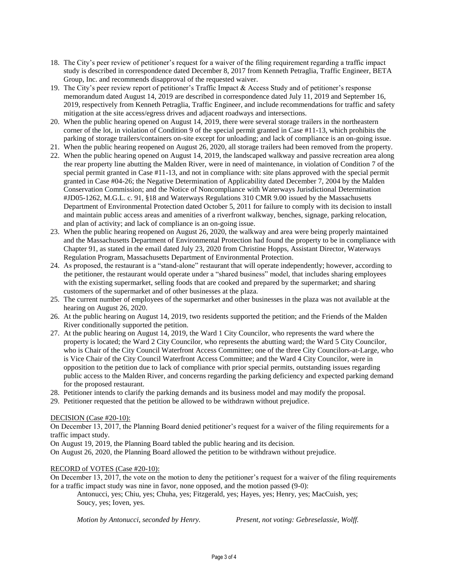- 18. The City's peer review of petitioner's request for a waiver of the filing requirement regarding a traffic impact study is described in correspondence dated December 8, 2017 from Kenneth Petraglia, Traffic Engineer, BETA Group, Inc. and recommends disapproval of the requested waiver.
- 19. The City's peer review report of petitioner's Traffic Impact & Access Study and of petitioner's response memorandum dated August 14, 2019 are described in correspondence dated July 11, 2019 and September 16, 2019, respectively from Kenneth Petraglia, Traffic Engineer, and include recommendations for traffic and safety mitigation at the site access/egress drives and adjacent roadways and intersections.
- 20. When the public hearing opened on August 14, 2019, there were several storage trailers in the northeastern corner of the lot, in violation of Condition 9 of the special permit granted in Case #11-13, which prohibits the parking of storage trailers/containers on-site except for unloading; and lack of compliance is an on-going issue.
- 21. When the public hearing reopened on August 26, 2020, all storage trailers had been removed from the property.
- 22. When the public hearing opened on August 14, 2019, the landscaped walkway and passive recreation area along the rear property line abutting the Malden River, were in need of maintenance, in violation of Condition 7 of the special permit granted in Case #11-13, and not in compliance with: site plans approved with the special permit granted in Case #04-26; the Negative Determination of Applicability dated December 7, 2004 by the Malden Conservation Commission; and the Notice of Noncompliance with Waterways Jurisdictional Determination #JD05-1262, M.G.L. c. 91, §18 and Waterways Regulations 310 CMR 9.00 issued by the Massachusetts Department of Environmental Protection dated October 5, 2011 for failure to comply with its decision to install and maintain public access areas and amenities of a riverfront walkway, benches, signage, parking relocation, and plan of activity; and lack of compliance is an on-going issue.
- 23. When the public hearing reopened on August 26, 2020, the walkway and area were being properly maintained and the Massachusetts Department of Environmental Protection had found the property to be in compliance with Chapter 91, as stated in the email dated July 23, 2020 from Christine Hopps, Assistant Director, Waterways Regulation Program, Massachusetts Department of Environmental Protection.
- 24. As proposed, the restaurant is a "stand-alone" restaurant that will operate independently; however, according to the petitioner, the restaurant would operate under a "shared business" model, that includes sharing employees with the existing supermarket, selling foods that are cooked and prepared by the supermarket; and sharing customers of the supermarket and of other businesses at the plaza.
- 25. The current number of employees of the supermarket and other businesses in the plaza was not available at the hearing on August 26, 2020.
- 26. At the public hearing on August 14, 2019, two residents supported the petition; and the Friends of the Malden River conditionally supported the petition.
- 27. At the public hearing on August 14, 2019, the Ward 1 City Councilor, who represents the ward where the property is located; the Ward 2 City Councilor, who represents the abutting ward; the Ward 5 City Councilor, who is Chair of the City Council Waterfront Access Committee; one of the three City Councilors-at-Large, who is Vice Chair of the City Council Waterfront Access Committee; and the Ward 4 City Councilor, were in opposition to the petition due to lack of compliance with prior special permits, outstanding issues regarding public access to the Malden River, and concerns regarding the parking deficiency and expected parking demand for the proposed restaurant.
- 28. Petitioner intends to clarify the parking demands and its business model and may modify the proposal.
- 29. Petitioner requested that the petition be allowed to be withdrawn without prejudice.

### DECISION (Case #20-10):

On December 13, 2017, the Planning Board denied petitioner's request for a waiver of the filing requirements for a traffic impact study.

On August 19, 2019, the Planning Board tabled the public hearing and its decision.

On August 26, 2020, the Planning Board allowed the petition to be withdrawn without prejudice.

### RECORD of VOTES (Case #20-10):

On December 13, 2017, the vote on the motion to deny the petitioner's request for a waiver of the filing requirements for a traffic impact study was nine in favor, none opposed, and the motion passed (9-0):

Antonucci, yes; Chiu, yes; Chuha, yes; Fitzgerald, yes; Hayes, yes; Henry, yes; MacCuish, yes; Soucy, yes; Ioven, yes.

*Motion by Antonucci, seconded by Henry. Present, not voting: Gebreselassie, Wolff.*